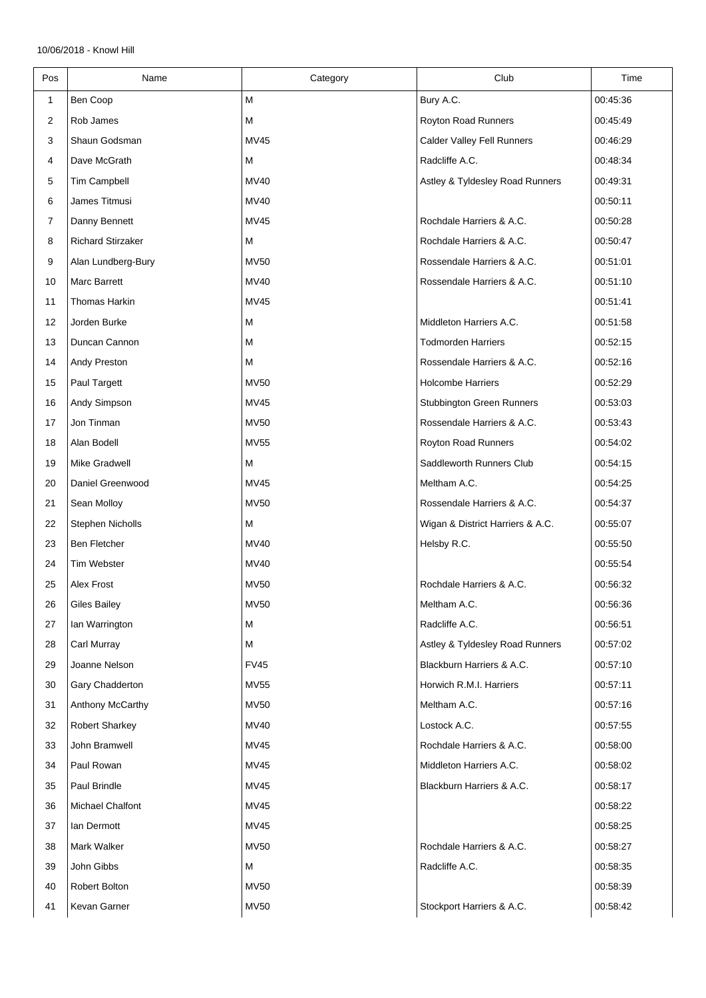| Pos | Name                     | Category    | Club                             | Time     |
|-----|--------------------------|-------------|----------------------------------|----------|
| 1   | Ben Coop                 | M           | Bury A.C.                        | 00:45:36 |
| 2   | Rob James                | M           | Royton Road Runners              | 00:45:49 |
| 3   | Shaun Godsman            | <b>MV45</b> | Calder Valley Fell Runners       | 00:46:29 |
| 4   | Dave McGrath             | M           | Radcliffe A.C.                   | 00:48:34 |
| 5   | Tim Campbell             | MV40        | Astley & Tyldesley Road Runners  | 00:49:31 |
| 6   | James Titmusi            | <b>MV40</b> |                                  | 00:50:11 |
| 7   | Danny Bennett            | <b>MV45</b> | Rochdale Harriers & A.C.         | 00:50:28 |
| 8   | <b>Richard Stirzaker</b> | M           | Rochdale Harriers & A.C.         | 00:50:47 |
| 9   | Alan Lundberg-Bury       | <b>MV50</b> | Rossendale Harriers & A.C.       | 00:51:01 |
| 10  | Marc Barrett             | MV40        | Rossendale Harriers & A.C.       | 00:51:10 |
| 11  | Thomas Harkin            | <b>MV45</b> |                                  | 00:51:41 |
| 12  | Jorden Burke             | M           | Middleton Harriers A.C.          | 00:51:58 |
| 13  | Duncan Cannon            | М           | <b>Todmorden Harriers</b>        | 00:52:15 |
| 14  | Andy Preston             | M           | Rossendale Harriers & A.C.       | 00:52:16 |
| 15  | Paul Targett             | <b>MV50</b> | <b>Holcombe Harriers</b>         | 00:52:29 |
| 16  | Andy Simpson             | <b>MV45</b> | <b>Stubbington Green Runners</b> | 00:53:03 |
| 17  | Jon Tinman               | <b>MV50</b> | Rossendale Harriers & A.C.       | 00:53:43 |
| 18  | Alan Bodell              | <b>MV55</b> | Royton Road Runners              | 00:54:02 |
| 19  | <b>Mike Gradwell</b>     | M           | Saddleworth Runners Club         | 00:54:15 |
| 20  | Daniel Greenwood         | <b>MV45</b> | Meltham A.C.                     | 00:54:25 |
| 21  | Sean Molloy              | <b>MV50</b> | Rossendale Harriers & A.C.       | 00:54:37 |
| 22  | Stephen Nicholls         | M           | Wigan & District Harriers & A.C. | 00:55:07 |
| 23  | Ben Fletcher             | MV40        | Helsby R.C.                      | 00:55:50 |
| 24  | <b>Tim Webster</b>       | MV40        |                                  | 00:55:54 |
| 25  | Alex Frost               | <b>MV50</b> | Rochdale Harriers & A.C.         | 00:56:32 |
| 26  | <b>Giles Bailey</b>      | <b>MV50</b> | Meltham A.C.                     | 00:56:36 |
| 27  | Ian Warrington           | M           | Radcliffe A.C.                   | 00:56:51 |
| 28  | <b>Carl Murray</b>       | M           | Astley & Tyldesley Road Runners  | 00:57:02 |
| 29  | Joanne Nelson            | <b>FV45</b> | Blackburn Harriers & A.C.        | 00:57:10 |
| 30  | Gary Chadderton          | <b>MV55</b> | Horwich R.M.I. Harriers          | 00:57:11 |
| 31  | <b>Anthony McCarthy</b>  | <b>MV50</b> | Meltham A.C.                     | 00:57:16 |
| 32  | <b>Robert Sharkey</b>    | MV40        | Lostock A.C.                     | 00:57:55 |
| 33  | John Bramwell            | <b>MV45</b> | Rochdale Harriers & A.C.         | 00:58:00 |
| 34  | Paul Rowan               | <b>MV45</b> | Middleton Harriers A.C.          | 00:58:02 |
| 35  | Paul Brindle             | <b>MV45</b> | Blackburn Harriers & A.C.        | 00:58:17 |
| 36  | Michael Chalfont         | <b>MV45</b> |                                  | 00:58:22 |
| 37  | lan Dermott              | MV45        |                                  | 00:58:25 |
| 38  | Mark Walker              | <b>MV50</b> | Rochdale Harriers & A.C.         | 00:58:27 |
| 39  | John Gibbs               | M           | Radcliffe A.C.                   | 00:58:35 |
| 40  | Robert Bolton            | <b>MV50</b> |                                  | 00:58:39 |
| 41  | Kevan Garner             | <b>MV50</b> | Stockport Harriers & A.C.        | 00:58:42 |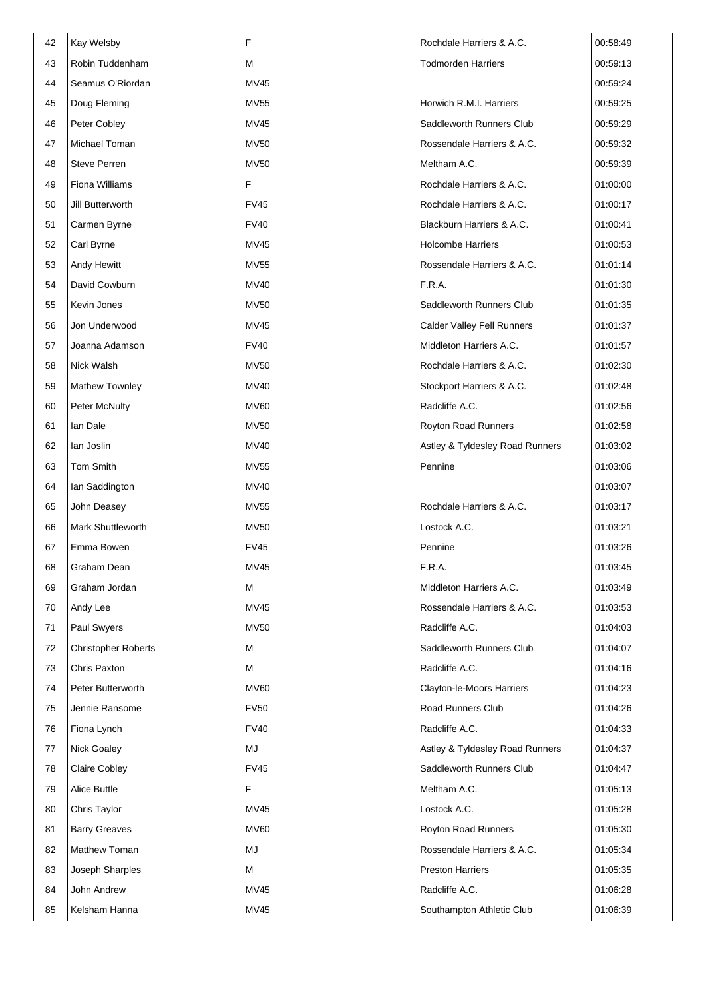| Robin Tuddenham<br>М<br><b>Todmorden Harriers</b><br>00:59:13<br>43<br>Seamus O'Riordan<br>MV45<br>44<br>00:59:24<br>Horwich R.M.I. Harriers<br>Doug Fleming<br><b>MV55</b><br>00:59:25<br>45<br>Saddleworth Runners Club<br>Peter Cobley<br>MV45<br>00:59:29<br>46<br>Michael Toman<br>Rossendale Harriers & A.C.<br><b>MV50</b><br>00:59:32<br>47<br><b>Steve Perren</b><br><b>MV50</b><br>Meltham A.C.<br>00:59:39<br>48<br>F<br>Fiona Williams<br>Rochdale Harriers & A.C.<br>01:00:00<br>49<br>Jill Butterworth<br><b>FV45</b><br>Rochdale Harriers & A.C.<br>01:00:17<br>50<br>Blackburn Harriers & A.C.<br>Carmen Byrne<br><b>FV40</b><br>01:00:41<br>51<br><b>Holcombe Harriers</b><br>Carl Byrne<br>MV45<br>01:00:53<br>52<br><b>Andy Hewitt</b><br><b>MV55</b><br>Rossendale Harriers & A.C.<br>01:01:14<br>53<br>F.R.A.<br>David Cowburn<br>MV40<br>01:01:30<br>54<br>Saddleworth Runners Club<br>Kevin Jones<br><b>MV50</b><br>01:01:35<br>55<br>Jon Underwood<br>MV45<br>Calder Valley Fell Runners<br>56<br>01:01:37<br>Joanna Adamson<br><b>FV40</b><br>Middleton Harriers A.C.<br>01:01:57<br>57<br>Nick Walsh<br><b>MV50</b><br>Rochdale Harriers & A.C.<br>58<br>01:02:30<br><b>Mathew Townley</b><br>MV40<br>Stockport Harriers & A.C.<br>59<br>01:02:48<br>Peter McNulty<br><b>MV60</b><br>Radcliffe A.C.<br>01:02:56<br>60<br>lan Dale<br><b>MV50</b><br>Royton Road Runners<br>01:02:58<br>61<br>lan Joslin<br>MV40<br>Astley & Tyldesley Road Runners<br>01:03:02<br>62<br>Tom Smith<br><b>MV55</b><br>Pennine<br>01:03:06<br>63 |
|---------------------------------------------------------------------------------------------------------------------------------------------------------------------------------------------------------------------------------------------------------------------------------------------------------------------------------------------------------------------------------------------------------------------------------------------------------------------------------------------------------------------------------------------------------------------------------------------------------------------------------------------------------------------------------------------------------------------------------------------------------------------------------------------------------------------------------------------------------------------------------------------------------------------------------------------------------------------------------------------------------------------------------------------------------------------------------------------------------------------------------------------------------------------------------------------------------------------------------------------------------------------------------------------------------------------------------------------------------------------------------------------------------------------------------------------------------------------------------------------------------------------------------------------------------|
|                                                                                                                                                                                                                                                                                                                                                                                                                                                                                                                                                                                                                                                                                                                                                                                                                                                                                                                                                                                                                                                                                                                                                                                                                                                                                                                                                                                                                                                                                                                                                         |
|                                                                                                                                                                                                                                                                                                                                                                                                                                                                                                                                                                                                                                                                                                                                                                                                                                                                                                                                                                                                                                                                                                                                                                                                                                                                                                                                                                                                                                                                                                                                                         |
|                                                                                                                                                                                                                                                                                                                                                                                                                                                                                                                                                                                                                                                                                                                                                                                                                                                                                                                                                                                                                                                                                                                                                                                                                                                                                                                                                                                                                                                                                                                                                         |
|                                                                                                                                                                                                                                                                                                                                                                                                                                                                                                                                                                                                                                                                                                                                                                                                                                                                                                                                                                                                                                                                                                                                                                                                                                                                                                                                                                                                                                                                                                                                                         |
|                                                                                                                                                                                                                                                                                                                                                                                                                                                                                                                                                                                                                                                                                                                                                                                                                                                                                                                                                                                                                                                                                                                                                                                                                                                                                                                                                                                                                                                                                                                                                         |
|                                                                                                                                                                                                                                                                                                                                                                                                                                                                                                                                                                                                                                                                                                                                                                                                                                                                                                                                                                                                                                                                                                                                                                                                                                                                                                                                                                                                                                                                                                                                                         |
|                                                                                                                                                                                                                                                                                                                                                                                                                                                                                                                                                                                                                                                                                                                                                                                                                                                                                                                                                                                                                                                                                                                                                                                                                                                                                                                                                                                                                                                                                                                                                         |
|                                                                                                                                                                                                                                                                                                                                                                                                                                                                                                                                                                                                                                                                                                                                                                                                                                                                                                                                                                                                                                                                                                                                                                                                                                                                                                                                                                                                                                                                                                                                                         |
|                                                                                                                                                                                                                                                                                                                                                                                                                                                                                                                                                                                                                                                                                                                                                                                                                                                                                                                                                                                                                                                                                                                                                                                                                                                                                                                                                                                                                                                                                                                                                         |
|                                                                                                                                                                                                                                                                                                                                                                                                                                                                                                                                                                                                                                                                                                                                                                                                                                                                                                                                                                                                                                                                                                                                                                                                                                                                                                                                                                                                                                                                                                                                                         |
|                                                                                                                                                                                                                                                                                                                                                                                                                                                                                                                                                                                                                                                                                                                                                                                                                                                                                                                                                                                                                                                                                                                                                                                                                                                                                                                                                                                                                                                                                                                                                         |
|                                                                                                                                                                                                                                                                                                                                                                                                                                                                                                                                                                                                                                                                                                                                                                                                                                                                                                                                                                                                                                                                                                                                                                                                                                                                                                                                                                                                                                                                                                                                                         |
|                                                                                                                                                                                                                                                                                                                                                                                                                                                                                                                                                                                                                                                                                                                                                                                                                                                                                                                                                                                                                                                                                                                                                                                                                                                                                                                                                                                                                                                                                                                                                         |
|                                                                                                                                                                                                                                                                                                                                                                                                                                                                                                                                                                                                                                                                                                                                                                                                                                                                                                                                                                                                                                                                                                                                                                                                                                                                                                                                                                                                                                                                                                                                                         |
|                                                                                                                                                                                                                                                                                                                                                                                                                                                                                                                                                                                                                                                                                                                                                                                                                                                                                                                                                                                                                                                                                                                                                                                                                                                                                                                                                                                                                                                                                                                                                         |
|                                                                                                                                                                                                                                                                                                                                                                                                                                                                                                                                                                                                                                                                                                                                                                                                                                                                                                                                                                                                                                                                                                                                                                                                                                                                                                                                                                                                                                                                                                                                                         |
|                                                                                                                                                                                                                                                                                                                                                                                                                                                                                                                                                                                                                                                                                                                                                                                                                                                                                                                                                                                                                                                                                                                                                                                                                                                                                                                                                                                                                                                                                                                                                         |
|                                                                                                                                                                                                                                                                                                                                                                                                                                                                                                                                                                                                                                                                                                                                                                                                                                                                                                                                                                                                                                                                                                                                                                                                                                                                                                                                                                                                                                                                                                                                                         |
|                                                                                                                                                                                                                                                                                                                                                                                                                                                                                                                                                                                                                                                                                                                                                                                                                                                                                                                                                                                                                                                                                                                                                                                                                                                                                                                                                                                                                                                                                                                                                         |
|                                                                                                                                                                                                                                                                                                                                                                                                                                                                                                                                                                                                                                                                                                                                                                                                                                                                                                                                                                                                                                                                                                                                                                                                                                                                                                                                                                                                                                                                                                                                                         |
|                                                                                                                                                                                                                                                                                                                                                                                                                                                                                                                                                                                                                                                                                                                                                                                                                                                                                                                                                                                                                                                                                                                                                                                                                                                                                                                                                                                                                                                                                                                                                         |
| Ian Saddington<br>MV40<br>01:03:07<br>64                                                                                                                                                                                                                                                                                                                                                                                                                                                                                                                                                                                                                                                                                                                                                                                                                                                                                                                                                                                                                                                                                                                                                                                                                                                                                                                                                                                                                                                                                                                |
| John Deasey<br>Rochdale Harriers & A.C.<br><b>MV55</b><br>01:03:17<br>65                                                                                                                                                                                                                                                                                                                                                                                                                                                                                                                                                                                                                                                                                                                                                                                                                                                                                                                                                                                                                                                                                                                                                                                                                                                                                                                                                                                                                                                                                |
| Mark Shuttleworth<br><b>MV50</b><br>Lostock A.C.<br>01:03:21<br>66                                                                                                                                                                                                                                                                                                                                                                                                                                                                                                                                                                                                                                                                                                                                                                                                                                                                                                                                                                                                                                                                                                                                                                                                                                                                                                                                                                                                                                                                                      |
| Emma Bowen<br><b>FV45</b><br>Pennine<br>01:03:26<br>67                                                                                                                                                                                                                                                                                                                                                                                                                                                                                                                                                                                                                                                                                                                                                                                                                                                                                                                                                                                                                                                                                                                                                                                                                                                                                                                                                                                                                                                                                                  |
| Graham Dean<br><b>MV45</b><br>F.R.A.<br>68<br>01:03:45                                                                                                                                                                                                                                                                                                                                                                                                                                                                                                                                                                                                                                                                                                                                                                                                                                                                                                                                                                                                                                                                                                                                                                                                                                                                                                                                                                                                                                                                                                  |
| Graham Jordan<br>м<br>Middleton Harriers A.C.<br>01:03:49<br>69                                                                                                                                                                                                                                                                                                                                                                                                                                                                                                                                                                                                                                                                                                                                                                                                                                                                                                                                                                                                                                                                                                                                                                                                                                                                                                                                                                                                                                                                                         |
| <b>MV45</b><br>Rossendale Harriers & A.C.<br>01:03:53<br>70<br>Andy Lee                                                                                                                                                                                                                                                                                                                                                                                                                                                                                                                                                                                                                                                                                                                                                                                                                                                                                                                                                                                                                                                                                                                                                                                                                                                                                                                                                                                                                                                                                 |
| Paul Swyers<br><b>MV50</b><br>Radcliffe A.C.<br>01:04:03<br>71                                                                                                                                                                                                                                                                                                                                                                                                                                                                                                                                                                                                                                                                                                                                                                                                                                                                                                                                                                                                                                                                                                                                                                                                                                                                                                                                                                                                                                                                                          |
| Saddleworth Runners Club<br>М<br>72<br><b>Christopher Roberts</b><br>01:04:07                                                                                                                                                                                                                                                                                                                                                                                                                                                                                                                                                                                                                                                                                                                                                                                                                                                                                                                                                                                                                                                                                                                                                                                                                                                                                                                                                                                                                                                                           |
| Chris Paxton<br>М<br>Radcliffe A.C.<br>73<br>01:04:16                                                                                                                                                                                                                                                                                                                                                                                                                                                                                                                                                                                                                                                                                                                                                                                                                                                                                                                                                                                                                                                                                                                                                                                                                                                                                                                                                                                                                                                                                                   |
| Peter Butterworth<br><b>MV60</b><br>Clayton-le-Moors Harriers<br>74<br>01:04:23                                                                                                                                                                                                                                                                                                                                                                                                                                                                                                                                                                                                                                                                                                                                                                                                                                                                                                                                                                                                                                                                                                                                                                                                                                                                                                                                                                                                                                                                         |
| Jennie Ransome<br><b>FV50</b><br>Road Runners Club<br>01:04:26<br>75                                                                                                                                                                                                                                                                                                                                                                                                                                                                                                                                                                                                                                                                                                                                                                                                                                                                                                                                                                                                                                                                                                                                                                                                                                                                                                                                                                                                                                                                                    |
| <b>FV40</b><br>Radcliffe A.C.<br>76<br>Fiona Lynch<br>01:04:33                                                                                                                                                                                                                                                                                                                                                                                                                                                                                                                                                                                                                                                                                                                                                                                                                                                                                                                                                                                                                                                                                                                                                                                                                                                                                                                                                                                                                                                                                          |
| Nick Goaley<br>MJ<br>Astley & Tyldesley Road Runners<br>01:04:37<br>77                                                                                                                                                                                                                                                                                                                                                                                                                                                                                                                                                                                                                                                                                                                                                                                                                                                                                                                                                                                                                                                                                                                                                                                                                                                                                                                                                                                                                                                                                  |
| <b>FV45</b><br>Saddleworth Runners Club<br>78<br><b>Claire Cobley</b><br>01:04:47                                                                                                                                                                                                                                                                                                                                                                                                                                                                                                                                                                                                                                                                                                                                                                                                                                                                                                                                                                                                                                                                                                                                                                                                                                                                                                                                                                                                                                                                       |
| F<br>Alice Buttle<br>Meltham A.C.<br>79<br>01:05:13                                                                                                                                                                                                                                                                                                                                                                                                                                                                                                                                                                                                                                                                                                                                                                                                                                                                                                                                                                                                                                                                                                                                                                                                                                                                                                                                                                                                                                                                                                     |
| Chris Taylor<br>MV45<br>Lostock A.C.<br>01:05:28<br>80                                                                                                                                                                                                                                                                                                                                                                                                                                                                                                                                                                                                                                                                                                                                                                                                                                                                                                                                                                                                                                                                                                                                                                                                                                                                                                                                                                                                                                                                                                  |
| <b>MV60</b><br>Royton Road Runners<br>01:05:30<br>81<br><b>Barry Greaves</b>                                                                                                                                                                                                                                                                                                                                                                                                                                                                                                                                                                                                                                                                                                                                                                                                                                                                                                                                                                                                                                                                                                                                                                                                                                                                                                                                                                                                                                                                            |
| Rossendale Harriers & A.C.<br>Matthew Toman<br>MJ<br>01:05:34<br>82                                                                                                                                                                                                                                                                                                                                                                                                                                                                                                                                                                                                                                                                                                                                                                                                                                                                                                                                                                                                                                                                                                                                                                                                                                                                                                                                                                                                                                                                                     |
| Joseph Sharples<br>М<br><b>Preston Harriers</b><br>01:05:35<br>83                                                                                                                                                                                                                                                                                                                                                                                                                                                                                                                                                                                                                                                                                                                                                                                                                                                                                                                                                                                                                                                                                                                                                                                                                                                                                                                                                                                                                                                                                       |
| John Andrew<br>MV45<br>Radcliffe A.C.<br>01:06:28<br>84                                                                                                                                                                                                                                                                                                                                                                                                                                                                                                                                                                                                                                                                                                                                                                                                                                                                                                                                                                                                                                                                                                                                                                                                                                                                                                                                                                                                                                                                                                 |
| Kelsham Hanna<br>MV45<br>Southampton Athletic Club<br>01:06:39<br>85                                                                                                                                                                                                                                                                                                                                                                                                                                                                                                                                                                                                                                                                                                                                                                                                                                                                                                                                                                                                                                                                                                                                                                                                                                                                                                                                                                                                                                                                                    |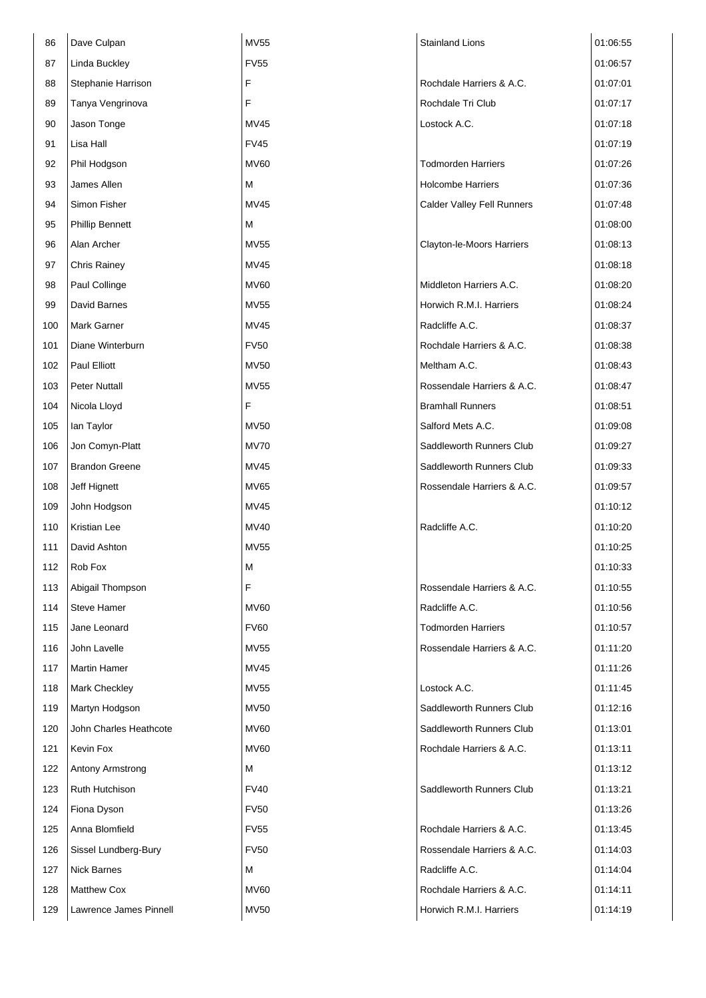| 86  | Dave Culpan            | <b>MV55</b> | <b>Stainland Lions</b>     | 01:06:55 |
|-----|------------------------|-------------|----------------------------|----------|
| 87  | <b>Linda Buckley</b>   | <b>FV55</b> |                            | 01:06:57 |
| 88  | Stephanie Harrison     | F           | Rochdale Harriers & A.C.   | 01:07:01 |
| 89  | Tanya Vengrinova       | F           | Rochdale Tri Club          | 01:07:17 |
| 90  | Jason Tonge            | <b>MV45</b> | Lostock A.C.               | 01:07:18 |
| 91  | Lisa Hall              | <b>FV45</b> |                            | 01:07:19 |
| 92  | Phil Hodgson           | <b>MV60</b> | <b>Todmorden Harriers</b>  | 01:07:26 |
| 93  | James Allen            | М           | <b>Holcombe Harriers</b>   | 01:07:36 |
| 94  | Simon Fisher           | MV45        | Calder Valley Fell Runners | 01:07:48 |
| 95  | <b>Phillip Bennett</b> | м           |                            | 01:08:00 |
| 96  | Alan Archer            | <b>MV55</b> | Clayton-le-Moors Harriers  | 01:08:13 |
| 97  | <b>Chris Rainey</b>    | MV45        |                            | 01:08:18 |
| 98  | Paul Collinge          | <b>MV60</b> | Middleton Harriers A.C.    | 01:08:20 |
| 99  | David Barnes           | <b>MV55</b> | Horwich R.M.I. Harriers    | 01:08:24 |
| 100 | Mark Garner            | <b>MV45</b> | Radcliffe A.C.             | 01:08:37 |
| 101 | Diane Winterburn       | <b>FV50</b> | Rochdale Harriers & A.C.   | 01:08:38 |
| 102 | Paul Elliott           | <b>MV50</b> | Meltham A.C.               | 01:08:43 |
| 103 | <b>Peter Nuttall</b>   | <b>MV55</b> | Rossendale Harriers & A.C. | 01:08:47 |
| 104 | Nicola Lloyd           | F           | <b>Bramhall Runners</b>    | 01:08:51 |
| 105 | lan Taylor             | <b>MV50</b> | Salford Mets A.C.          | 01:09:08 |
| 106 | Jon Comyn-Platt        | <b>MV70</b> | Saddleworth Runners Club   | 01:09:27 |
| 107 | <b>Brandon Greene</b>  | <b>MV45</b> | Saddleworth Runners Club   | 01:09:33 |
| 108 | Jeff Hignett           | <b>MV65</b> | Rossendale Harriers & A.C. | 01:09:57 |
| 109 | John Hodgson           | <b>MV45</b> |                            | 01:10:12 |
| 110 | Kristian Lee           | <b>MV40</b> | Radcliffe A.C.             | 01:10:20 |
| 111 | David Ashton           | <b>MV55</b> |                            | 01:10:25 |
| 112 | Rob Fox                | M           |                            | 01:10:33 |
| 113 | Abigail Thompson       | F           | Rossendale Harriers & A.C. | 01:10:55 |
| 114 | Steve Hamer            | <b>MV60</b> | Radcliffe A.C.             | 01:10:56 |
| 115 | Jane Leonard           | <b>FV60</b> | <b>Todmorden Harriers</b>  | 01:10:57 |
| 116 | John Lavelle           | <b>MV55</b> | Rossendale Harriers & A.C. | 01:11:20 |
| 117 | <b>Martin Hamer</b>    | <b>MV45</b> |                            | 01:11:26 |
| 118 | <b>Mark Checkley</b>   | MV55        | Lostock A.C.               | 01:11:45 |
| 119 | Martyn Hodgson         | <b>MV50</b> | Saddleworth Runners Club   | 01:12:16 |
| 120 | John Charles Heathcote | <b>MV60</b> | Saddleworth Runners Club   | 01:13:01 |
| 121 | Kevin Fox              | <b>MV60</b> | Rochdale Harriers & A.C.   | 01:13:11 |
| 122 | Antony Armstrong       | м           |                            | 01:13:12 |
| 123 | Ruth Hutchison         | <b>FV40</b> | Saddleworth Runners Club   | 01:13:21 |
| 124 | Fiona Dyson            | <b>FV50</b> |                            | 01:13:26 |
| 125 | Anna Blomfield         | <b>FV55</b> | Rochdale Harriers & A.C.   | 01:13:45 |
| 126 | Sissel Lundberg-Bury   | <b>FV50</b> | Rossendale Harriers & A.C. | 01:14:03 |
| 127 | <b>Nick Barnes</b>     | м           | Radcliffe A.C.             | 01:14:04 |
| 128 | <b>Matthew Cox</b>     | <b>MV60</b> | Rochdale Harriers & A.C.   | 01:14:11 |
| 129 | Lawrence James Pinnell | <b>MV50</b> | Horwich R.M.I. Harriers    | 01:14:19 |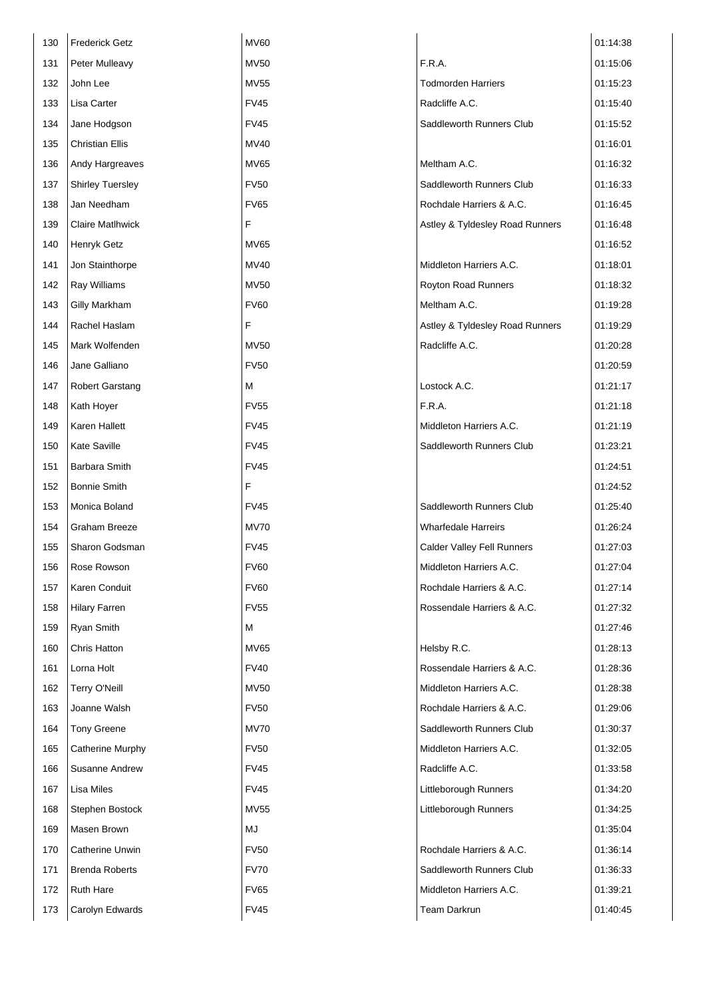| 130 | <b>Frederick Getz</b>   | <b>MV60</b> |                                 | 01:14:38 |
|-----|-------------------------|-------------|---------------------------------|----------|
| 131 | Peter Mulleavy          | <b>MV50</b> | F.R.A.                          | 01:15:06 |
| 132 | John Lee                | <b>MV55</b> | <b>Todmorden Harriers</b>       | 01:15:23 |
| 133 | Lisa Carter             | <b>FV45</b> | Radcliffe A.C.                  | 01:15:40 |
| 134 | Jane Hodgson            | <b>FV45</b> | Saddleworth Runners Club        | 01:15:52 |
| 135 | <b>Christian Ellis</b>  | <b>MV40</b> |                                 | 01:16:01 |
| 136 | Andy Hargreaves         | MV65        | Meltham A.C.                    | 01:16:32 |
| 137 | <b>Shirley Tuersley</b> | <b>FV50</b> | Saddleworth Runners Club        | 01:16:33 |
| 138 | Jan Needham             | <b>FV65</b> | Rochdale Harriers & A.C.        | 01:16:45 |
| 139 | <b>Claire Matlhwick</b> | F           | Astley & Tyldesley Road Runners | 01:16:48 |
| 140 | Henryk Getz             | MV65        |                                 | 01:16:52 |
| 141 | Jon Stainthorpe         | <b>MV40</b> | Middleton Harriers A.C.         | 01:18:01 |
| 142 | Ray Williams            | <b>MV50</b> | Royton Road Runners             | 01:18:32 |
| 143 | Gilly Markham           | <b>FV60</b> | Meltham A.C.                    | 01:19:28 |
| 144 | Rachel Haslam           | F           | Astley & Tyldesley Road Runners | 01:19:29 |
| 145 | Mark Wolfenden          | <b>MV50</b> | Radcliffe A.C.                  | 01:20:28 |
| 146 | Jane Galliano           | <b>FV50</b> |                                 | 01:20:59 |
| 147 | <b>Robert Garstang</b>  | м           | Lostock A.C.                    | 01:21:17 |
| 148 | Kath Hoyer              | <b>FV55</b> | F.R.A.                          | 01:21:18 |
| 149 | Karen Hallett           | <b>FV45</b> | Middleton Harriers A.C.         | 01:21:19 |
| 150 | <b>Kate Saville</b>     | <b>FV45</b> | Saddleworth Runners Club        | 01:23:21 |
| 151 | Barbara Smith           | <b>FV45</b> |                                 | 01:24:51 |
| 152 | <b>Bonnie Smith</b>     | F           |                                 | 01:24:52 |
| 153 | Monica Boland           | <b>FV45</b> | Saddleworth Runners Club        | 01:25:40 |
| 154 | <b>Graham Breeze</b>    | <b>MV70</b> | <b>Wharfedale Harreirs</b>      | 01:26:24 |
| 155 | Sharon Godsman          | FV45        | Calder Valley Fell Runners      | 01:27:03 |
| 156 | Rose Rowson             | <b>FV60</b> | Middleton Harriers A.C.         | 01:27:04 |
| 157 | Karen Conduit           | <b>FV60</b> | Rochdale Harriers & A.C.        | 01:27:14 |
| 158 | <b>Hilary Farren</b>    | <b>FV55</b> | Rossendale Harriers & A.C.      | 01:27:32 |
| 159 | Ryan Smith              | М           |                                 | 01:27:46 |
| 160 | Chris Hatton            | MV65        | Helsby R.C.                     | 01:28:13 |
| 161 | Lorna Holt              | <b>FV40</b> | Rossendale Harriers & A.C.      | 01:28:36 |
| 162 | Terry O'Neill           | <b>MV50</b> | Middleton Harriers A.C.         | 01:28:38 |
| 163 | Joanne Walsh            | <b>FV50</b> | Rochdale Harriers & A.C.        | 01:29:06 |
| 164 | <b>Tony Greene</b>      | <b>MV70</b> | Saddleworth Runners Club        | 01:30:37 |
| 165 | Catherine Murphy        | <b>FV50</b> | Middleton Harriers A.C.         | 01:32:05 |
| 166 | Susanne Andrew          | <b>FV45</b> | Radcliffe A.C.                  | 01:33:58 |
| 167 | Lisa Miles              | <b>FV45</b> | Littleborough Runners           | 01:34:20 |
| 168 | Stephen Bostock         | <b>MV55</b> | Littleborough Runners           | 01:34:25 |
| 169 | Masen Brown             | MJ          |                                 | 01:35:04 |
| 170 | Catherine Unwin         | <b>FV50</b> | Rochdale Harriers & A.C.        | 01:36:14 |
| 171 | <b>Brenda Roberts</b>   | <b>FV70</b> | Saddleworth Runners Club        | 01:36:33 |
| 172 | <b>Ruth Hare</b>        | <b>FV65</b> | Middleton Harriers A.C.         | 01:39:21 |
| 173 | Carolyn Edwards         | <b>FV45</b> | <b>Team Darkrun</b>             | 01:40:45 |
|     |                         |             |                                 |          |